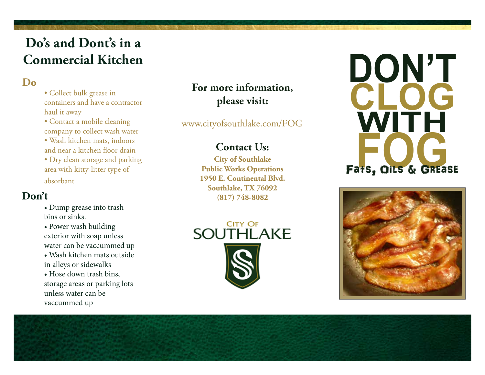# **Do's and Dont's in a Commercial Kitchen**

### **Do**

- Collect bulk grease in containers and have a contractor haul it away
- Contact a mobile cleaning company to collect wash water
- Wash kitchen mats, indoors and near a kitchen floor drain
- Dry clean storage and parking area with kitty-litter type of

absorbant

#### **Don't**

- Dump grease into trash bins or sinks.
- Power wash building exterior with soap unless water can be vaccummed up
- Wash kitchen mats outside in alleys or sidewalks
- Hose down trash bins, storage areas or parking lots unless water can be vaccummed up

### **For more information, please visit:**

www.cityofsouthlake.com/FOG

### **Contact Us:**

**City of Southlake Public Works Operations 1950 E. Continental Blvd. Southlake, TX 76092 (817) 748-8082**



# **DON'T CLOG WITH** Fats, OILS & GREase